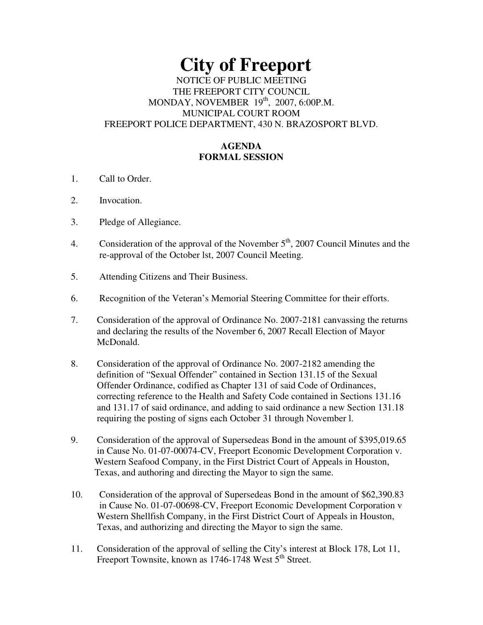# **City of Freeport**  NOTICE OF PUBLIC MEETING THE FREEPORT CITY COUNCIL MONDAY, NOVEMBER 19th, 2007, 6:00P.M. MUNICIPAL COURT ROOM FREEPORT POLICE DEPARTMENT, 430 N. BRAZOSPORT BLVD.

## **AGENDA FORMAL SESSION**

- 1. Call to Order.
- 2. Invocation.
- 3. Pledge of Allegiance.
- 4. Consideration of the approval of the November  $5<sup>th</sup>$ , 2007 Council Minutes and the re-approval of the October lst, 2007 Council Meeting.
- 5. Attending Citizens and Their Business.
- 6. Recognition of the Veteran's Memorial Steering Committee for their efforts.
- 7. Consideration of the approval of Ordinance No. 2007-2181 canvassing the returns and declaring the results of the November 6, 2007 Recall Election of Mayor McDonald.
- 8. Consideration of the approval of Ordinance No. 2007-2182 amending the definition of "Sexual Offender" contained in Section 131.15 of the Sexual Offender Ordinance, codified as Chapter 131 of said Code of Ordinances, correcting reference to the Health and Safety Code contained in Sections 131.16 and 131.17 of said ordinance, and adding to said ordinance a new Section 131.18 requiring the posting of signs each October 31 through November l.
- 9. Consideration of the approval of Supersedeas Bond in the amount of \$395,019.65 in Cause No. 01-07-00074-CV, Freeport Economic Development Corporation v. Western Seafood Company, in the First District Court of Appeals in Houston, Texas, and authoring and directing the Mayor to sign the same.
- 10. Consideration of the approval of Supersedeas Bond in the amount of \$62,390.83 in Cause No. 01-07-00698-CV, Freeport Economic Development Corporation v Western Shellfish Company, in the First District Court of Appeals in Houston, Texas, and authorizing and directing the Mayor to sign the same.
- 11. Consideration of the approval of selling the City's interest at Block 178, Lot 11, Freeport Townsite, known as  $1746-1748$  West  $5<sup>th</sup>$  Street.